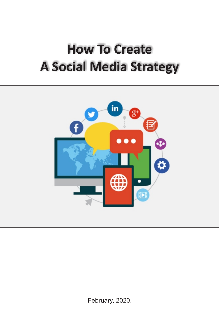## **How To Create A Social Media Strategy**



February, 2020.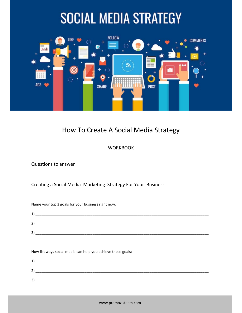# **SOCIAL MEDIA STRATEGY**



### How To Create A Social Media Strategy

### **WORKBOOK**

Questions to answer

Creating a Social Media Marketing Strategy For Your Business

Name your top 3 goals for your business right now:

| л<br><b>.</b>     |  |
|-------------------|--|
| າ<br>ے            |  |
| $\mathbf{a}$<br>ت |  |

Now list ways social media can help you achieve these goals:

| л<br>∸ |  |
|--------|--|
| ∽<br>▃ |  |
| 3      |  |
|        |  |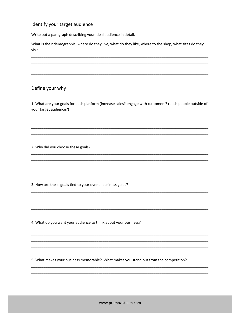#### Identify your target audience

Write out a paragraph describing your ideal audience in detail.

What is their demographic, where do they live, what do they like, where to the shop, what sites do they visit.

#### Define your why

1. What are your goals for each platform (increase sales? engage with customers? reach people outside of your target audience?)

2. Why did you choose these goals?

3. How are these goals tied to your overall business goals?

4. What do you want your audience to think about your business?

5. What makes your business memorable? What makes you stand out from the competition?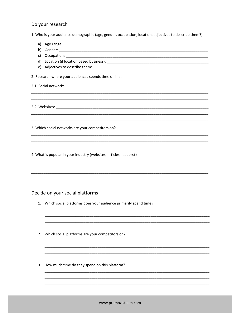#### Do your research

1. Who is your audience demographic (age, gender, occupation, location, adjectives to describe them?)

| a)                                                                               |
|----------------------------------------------------------------------------------|
| b)                                                                               |
| C)                                                                               |
|                                                                                  |
|                                                                                  |
| 2. Research where your audiences spends time online.                             |
|                                                                                  |
|                                                                                  |
| ,我们也不能在这里的,我们也不能在这里的,我们也不能在这里的,我们也不能不能在这里的。""我们,我们也不能不能不能不能不能不能不能不能不能不能不能不能不能不能不 |
|                                                                                  |
|                                                                                  |
|                                                                                  |
| 3. Which social networks are your competitors on?                                |
|                                                                                  |
|                                                                                  |
| 4. What is popular in your industry (websites, articles, leaders?)               |
|                                                                                  |
|                                                                                  |

#### Decide on your social platforms

- 1. Which social platforms does your audience primarily spend time?
- 2. Which social platforms are your competitors on?
- 3. How much time do they spend on this platform?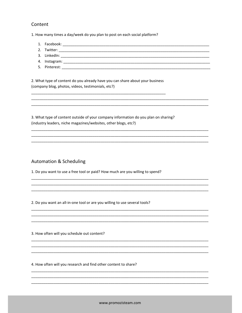#### Content

1. How many times a day/week do you plan to post on each social platform?

- 1. Facebook: The contract of the contract of the contract of the contract of the contract of the contract of the contract of the contract of the contract of the contract of the contract of the contract of the contract of t
- 
- 
- 4. Instagram:
- 

2. What type of content do you already have you can share about your business (company blog, photos, videos, testimonials, etc?)

3. What type of content outside of your company information do you plan on sharing? (industry leaders, niche magazines/websites, other blogs, etc?)

#### **Automation & Scheduling**

1. Do you want to use a free tool or paid? How much are you willing to spend?

2. Do you want an all-in-one tool or are you willing to use several tools?

3. How often will you schedule out content?

4. How often will you research and find other content to share?